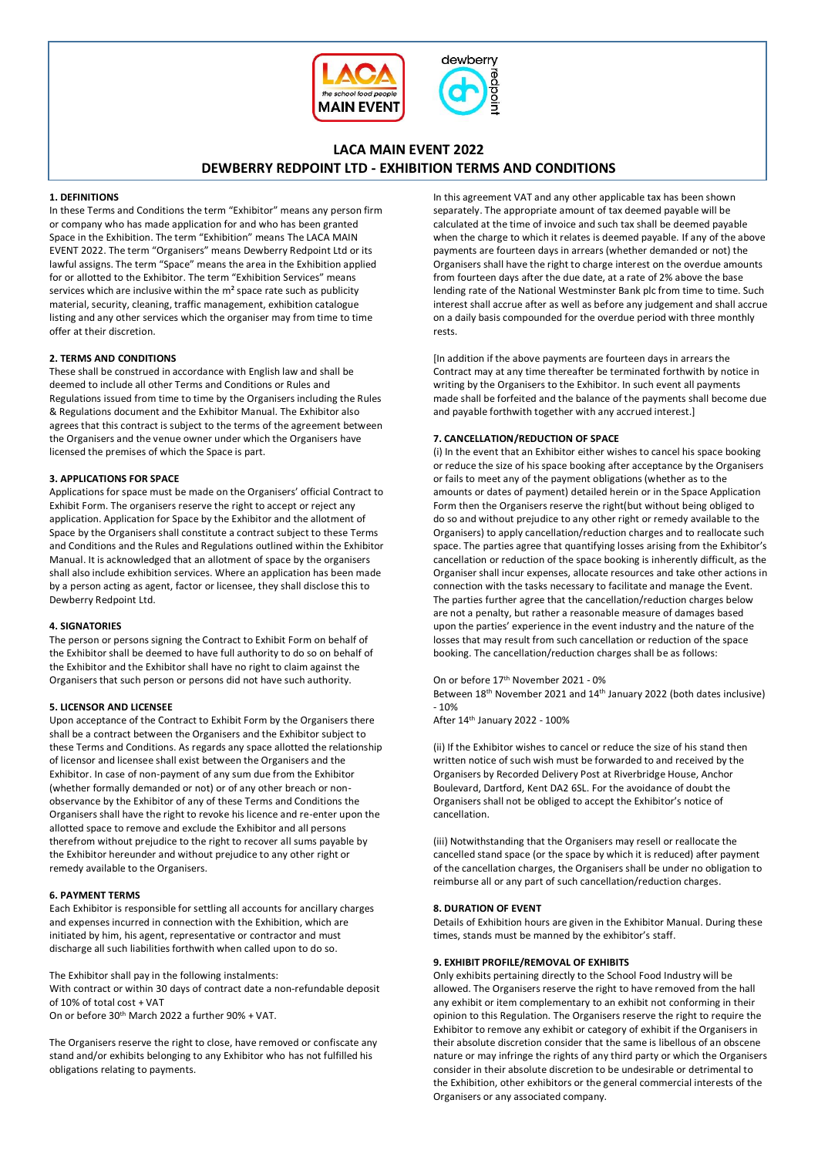



# **LACA MAIN EVENT 2022 DEWBERRY REDPOINT LTD - EXHIBITION TERMS AND CONDITIONS**

# **1. DEFINITIONS**

In these Terms and Conditions the term "Exhibitor" means any person firm or company who has made application for and who has been granted Space in the Exhibition. The term "Exhibition" means The LACA MAIN EVENT 2022. The term "Organisers" means Dewberry Redpoint Ltd or its lawful assigns. The term "Space" means the area in the Exhibition applied for or allotted to the Exhibitor. The term "Exhibition Services" means services which are inclusive within the m² space rate such as publicity material, security, cleaning, traffic management, exhibition catalogue listing and any other services which the organiser may from time to time offer at their discretion.

# **2. TERMS AND CONDITIONS**

These shall be construed in accordance with English law and shall be deemed to include all other Terms and Conditions or Rules and Regulations issued from time to time by the Organisers including the Rules & Regulations document and the Exhibitor Manual. The Exhibitor also agrees that this contract is subject to the terms of the agreement between the Organisers and the venue owner under which the Organisers have licensed the premises of which the Space is part.

# **3. APPLICATIONS FOR SPACE**

Applications for space must be made on the Organisers' official Contract to Exhibit Form. The organisers reserve the right to accept or reject any application. Application for Space by the Exhibitor and the allotment of Space by the Organisers shall constitute a contract subject to these Terms and Conditions and the Rules and Regulations outlined within the Exhibitor Manual. It is acknowledged that an allotment of space by the organisers shall also include exhibition services. Where an application has been made by a person acting as agent, factor or licensee, they shall disclose this to Dewberry Redpoint Ltd.

# **4. SIGNATORIES**

The person or persons signing the Contract to Exhibit Form on behalf of the Exhibitor shall be deemed to have full authority to do so on behalf of the Exhibitor and the Exhibitor shall have no right to claim against the Organisers that such person or persons did not have such authority.

### **5. LICENSOR AND LICENSEE**

Upon acceptance of the Contract to Exhibit Form by the Organisers there shall be a contract between the Organisers and the Exhibitor subject to these Terms and Conditions. As regards any space allotted the relationship of licensor and licensee shall exist between the Organisers and the Exhibitor. In case of non-payment of any sum due from the Exhibitor (whether formally demanded or not) or of any other breach or nonobservance by the Exhibitor of any of these Terms and Conditions the Organisers shall have the right to revoke his licence and re-enter upon the allotted space to remove and exclude the Exhibitor and all persons therefrom without prejudice to the right to recover all sums payable by the Exhibitor hereunder and without prejudice to any other right or remedy available to the Organisers.

### **6. PAYMENT TERMS**

Each Exhibitor is responsible for settling all accounts for ancillary charges and expenses incurred in connection with the Exhibition, which are initiated by him, his agent, representative or contractor and must discharge all such liabilities forthwith when called upon to do so.

The Exhibitor shall pay in the following instalments:

With contract or within 30 days of contract date a non-refundable deposit of 10% of total cost + VAT

On or before 30th March 2022 a further 90% + VAT.

The Organisers reserve the right to close, have removed or confiscate any stand and/or exhibits belonging to any Exhibitor who has not fulfilled his obligations relating to payments.

In this agreement VAT and any other applicable tax has been shown separately. The appropriate amount of tax deemed payable will be calculated at the time of invoice and such tax shall be deemed payable when the charge to which it relates is deemed payable. If any of the above payments are fourteen days in arrears (whether demanded or not) the Organisers shall have the right to charge interest on the overdue amounts from fourteen days after the due date, at a rate of 2% above the base lending rate of the National Westminster Bank plc from time to time. Such interest shall accrue after as well as before any judgement and shall accrue on a daily basis compounded for the overdue period with three monthly rests.

[In addition if the above payments are fourteen days in arrears the Contract may at any time thereafter be terminated forthwith by notice in writing by the Organisers to the Exhibitor. In such event all payments made shall be forfeited and the balance of the payments shall become due and payable forthwith together with any accrued interest.]

### **7. CANCELLATION/REDUCTION OF SPACE**

(i) In the event that an Exhibitor either wishes to cancel his space booking or reduce the size of his space booking after acceptance by the Organisers or fails to meet any of the payment obligations (whether as to the amounts or dates of payment) detailed herein or in the Space Application Form then the Organisers reserve the right(but without being obliged to do so and without prejudice to any other right or remedy available to the Organisers) to apply cancellation/reduction charges and to reallocate such space. The parties agree that quantifying losses arising from the Exhibitor's cancellation or reduction of the space booking is inherently difficult, as the Organiser shall incur expenses, allocate resources and take other actions in connection with the tasks necessary to facilitate and manage the Event. The parties further agree that the cancellation/reduction charges below are not a penalty, but rather a reasonable measure of damages based upon the parties' experience in the event industry and the nature of the losses that may result from such cancellation or reduction of the space booking. The cancellation/reduction charges shall be as follows:

### On or before 17th November 2021 - 0%

Between 18th November 2021 and 14th January 2022 (both dates inclusive)  $-10%$ 

After 14th January 2022 - 100%

(ii) If the Exhibitor wishes to cancel or reduce the size of his stand then written notice of such wish must be forwarded to and received by the Organisers by Recorded Delivery Post at Riverbridge House, Anchor Boulevard, Dartford, Kent DA2 6SL. For the avoidance of doubt the Organisers shall not be obliged to accept the Exhibitor's notice of cancellation.

(iii) Notwithstanding that the Organisers may resell or reallocate the cancelled stand space (or the space by which it is reduced) after payment of the cancellation charges, the Organisers shall be under no obligation to reimburse all or any part of such cancellation/reduction charges.

### **8. DURATION OF EVENT**

Details of Exhibition hours are given in the Exhibitor Manual. During these times, stands must be manned by the exhibitor's staff.

### **9. EXHIBIT PROFILE/REMOVAL OF EXHIBITS**

Only exhibits pertaining directly to the School Food Industry will be allowed. The Organisers reserve the right to have removed from the hall any exhibit or item complementary to an exhibit not conforming in their opinion to this Regulation. The Organisers reserve the right to require the Exhibitor to remove any exhibit or category of exhibit if the Organisers in their absolute discretion consider that the same is libellous of an obscene nature or may infringe the rights of any third party or which the Organisers consider in their absolute discretion to be undesirable or detrimental to the Exhibition, other exhibitors or the general commercial interests of the Organisers or any associated company.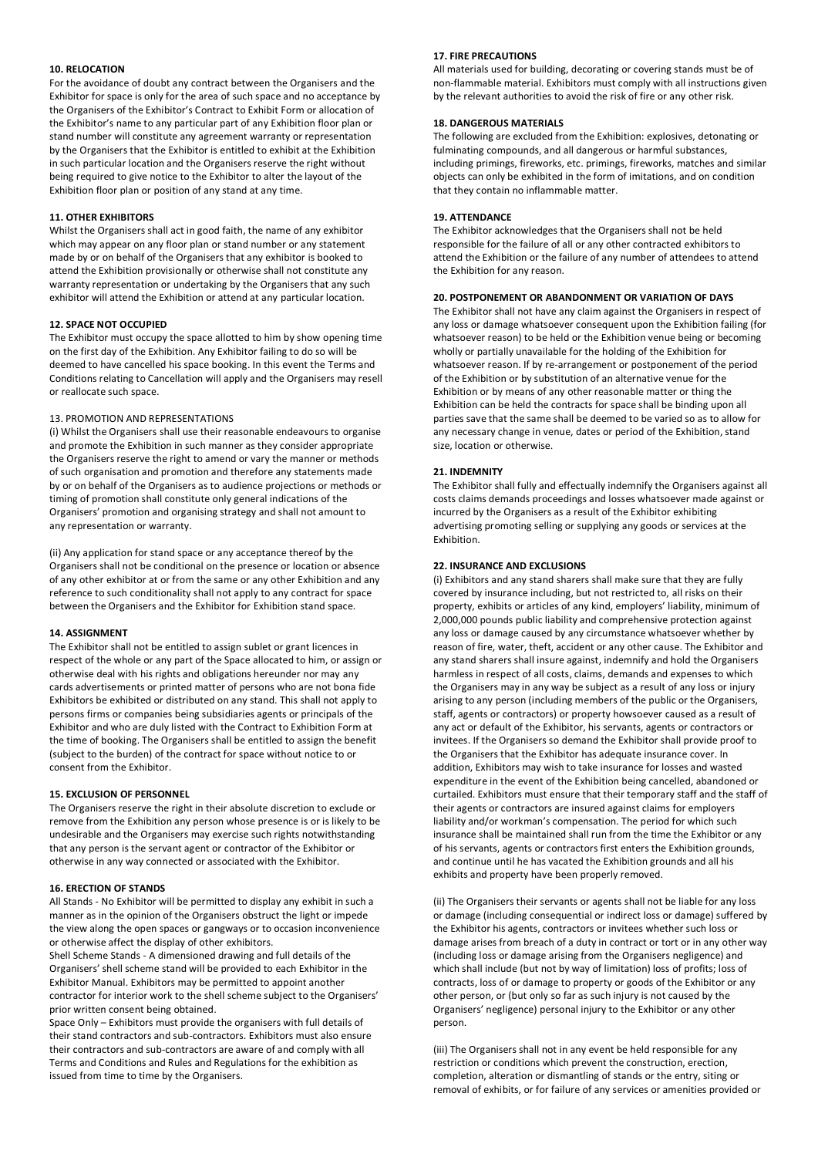### **10. RELOCATION**

For the avoidance of doubt any contract between the Organisers and the Exhibitor for space is only for the area of such space and no acceptance by the Organisers of the Exhibitor's Contract to Exhibit Form or allocation of the Exhibitor's name to any particular part of any Exhibition floor plan or stand number will constitute any agreement warranty or representation by the Organisers that the Exhibitor is entitled to exhibit at the Exhibition in such particular location and the Organisers reserve the right without being required to give notice to the Exhibitor to alter the layout of the Exhibition floor plan or position of any stand at any time.

### **11. OTHER EXHIBITORS**

Whilst the Organisers shall act in good faith, the name of any exhibitor which may appear on any floor plan or stand number or any statement made by or on behalf of the Organisers that any exhibitor is booked to attend the Exhibition provisionally or otherwise shall not constitute any warranty representation or undertaking by the Organisers that any such exhibitor will attend the Exhibition or attend at any particular location.

### **12. SPACE NOT OCCUPIED**

The Exhibitor must occupy the space allotted to him by show opening time on the first day of the Exhibition. Any Exhibitor failing to do so will be deemed to have cancelled his space booking. In this event the Terms and Conditions relating to Cancellation will apply and the Organisers may resell or reallocate such space.

### 13. PROMOTION AND REPRESENTATIONS

(i) Whilst the Organisers shall use their reasonable endeavours to organise and promote the Exhibition in such manner as they consider appropriate the Organisers reserve the right to amend or vary the manner or methods of such organisation and promotion and therefore any statements made by or on behalf of the Organisers as to audience projections or methods or timing of promotion shall constitute only general indications of the Organisers' promotion and organising strategy and shall not amount to any representation or warranty.

(ii) Any application for stand space or any acceptance thereof by the Organisers shall not be conditional on the presence or location or absence of any other exhibitor at or from the same or any other Exhibition and any reference to such conditionality shall not apply to any contract for space between the Organisers and the Exhibitor for Exhibition stand space.

#### **14. ASSIGNMENT**

The Exhibitor shall not be entitled to assign sublet or grant licences in respect of the whole or any part of the Space allocated to him, or assign or otherwise deal with his rights and obligations hereunder nor may any cards advertisements or printed matter of persons who are not bona fide Exhibitors be exhibited or distributed on any stand. This shall not apply to persons firms or companies being subsidiaries agents or principals of the Exhibitor and who are duly listed with the Contract to Exhibition Form at the time of booking. The Organisers shall be entitled to assign the benefit (subject to the burden) of the contract for space without notice to or consent from the Exhibitor.

### **15. EXCLUSION OF PERSONNEL**

The Organisers reserve the right in their absolute discretion to exclude or remove from the Exhibition any person whose presence is or is likely to be undesirable and the Organisers may exercise such rights notwithstanding that any person is the servant agent or contractor of the Exhibitor or otherwise in any way connected or associated with the Exhibitor.

#### **16. ERECTION OF STANDS**

All Stands - No Exhibitor will be permitted to display any exhibit in such a manner as in the opinion of the Organisers obstruct the light or impede the view along the open spaces or gangways or to occasion inconvenience or otherwise affect the display of other exhibitors.

Shell Scheme Stands - A dimensioned drawing and full details of the Organisers' shell scheme stand will be provided to each Exhibitor in the Exhibitor Manual. Exhibitors may be permitted to appoint another contractor for interior work to the shell scheme subject to the Organisers' prior written consent being obtained.

Space Only – Exhibitors must provide the organisers with full details of their stand contractors and sub-contractors. Exhibitors must also ensure their contractors and sub-contractors are aware of and comply with all Terms and Conditions and Rules and Regulations for the exhibition as issued from time to time by the Organisers.

# **17. FIRE PRECAUTIONS**

All materials used for building, decorating or covering stands must be of non-flammable material. Exhibitors must comply with all instructions given by the relevant authorities to avoid the risk of fire or any other risk.

### **18. DANGEROUS MATERIALS**

The following are excluded from the Exhibition: explosives, detonating or fulminating compounds, and all dangerous or harmful substances, including primings, fireworks, etc. primings, fireworks, matches and similar objects can only be exhibited in the form of imitations, and on condition that they contain no inflammable matter.

### **19. ATTENDANCE**

The Exhibitor acknowledges that the Organisers shall not be held responsible for the failure of all or any other contracted exhibitors to attend the Exhibition or the failure of any number of attendees to attend the Exhibition for any reason.

# **20. POSTPONEMENT OR ABANDONMENT OR VARIATION OF DAYS**

The Exhibitor shall not have any claim against the Organisers in respect of any loss or damage whatsoever consequent upon the Exhibition failing (for whatsoever reason) to be held or the Exhibition venue being or becoming wholly or partially unavailable for the holding of the Exhibition for whatsoever reason. If by re-arrangement or postponement of the period of the Exhibition or by substitution of an alternative venue for the Exhibition or by means of any other reasonable matter or thing the Exhibition can be held the contracts for space shall be binding upon all parties save that the same shall be deemed to be varied so as to allow for any necessary change in venue, dates or period of the Exhibition, stand size, location or otherwise.

### **21. INDEMNITY**

The Exhibitor shall fully and effectually indemnify the Organisers against all costs claims demands proceedings and losses whatsoever made against or incurred by the Organisers as a result of the Exhibitor exhibiting advertising promoting selling or supplying any goods or services at the Exhibition.

### **22. INSURANCE AND EXCLUSIONS**

(i) Exhibitors and any stand sharers shall make sure that they are fully covered by insurance including, but not restricted to, all risks on their property, exhibits or articles of any kind, employers' liability, minimum of 2,000,000 pounds public liability and comprehensive protection against any loss or damage caused by any circumstance whatsoever whether by reason of fire, water, theft, accident or any other cause. The Exhibitor and any stand sharers shall insure against, indemnify and hold the Organisers harmless in respect of all costs, claims, demands and expenses to which the Organisers may in any way be subject as a result of any loss or injury arising to any person (including members of the public or the Organisers, staff, agents or contractors) or property howsoever caused as a result of any act or default of the Exhibitor, his servants, agents or contractors or invitees. If the Organisers so demand the Exhibitor shall provide proof to the Organisers that the Exhibitor has adequate insurance cover. In addition, Exhibitors may wish to take insurance for losses and wasted expenditure in the event of the Exhibition being cancelled, abandoned or curtailed. Exhibitors must ensure that their temporary staff and the staff of their agents or contractors are insured against claims for employers liability and/or workman's compensation. The period for which such insurance shall be maintained shall run from the time the Exhibitor or any of his servants, agents or contractors first enters the Exhibition grounds, and continue until he has vacated the Exhibition grounds and all his exhibits and property have been properly removed.

(ii) The Organisers their servants or agents shall not be liable for any loss or damage (including consequential or indirect loss or damage) suffered by the Exhibitor his agents, contractors or invitees whether such loss or damage arises from breach of a duty in contract or tort or in any other way (including loss or damage arising from the Organisers negligence) and which shall include (but not by way of limitation) loss of profits; loss of contracts, loss of or damage to property or goods of the Exhibitor or any other person, or (but only so far as such injury is not caused by the Organisers' negligence) personal injury to the Exhibitor or any other person.

(iii) The Organisers shall not in any event be held responsible for any restriction or conditions which prevent the construction, erection, completion, alteration or dismantling of stands or the entry, siting or removal of exhibits, or for failure of any services or amenities provided or